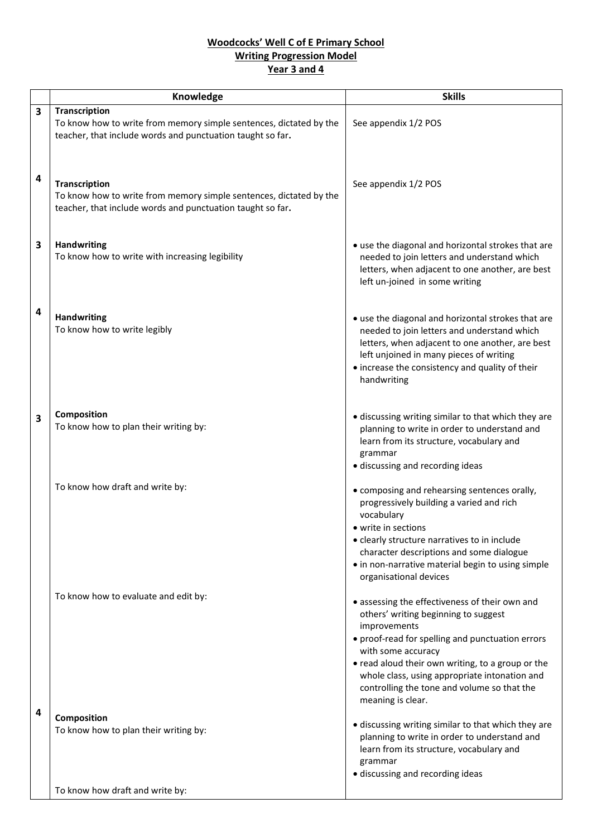## **Woodcocks' Well C of E Primary School Writing Progression Model Year 3 and 4**

|                         | Knowledge                                                                                                                                                | <b>Skills</b>                                                                                                                                                                                                                                                                                                                                              |
|-------------------------|----------------------------------------------------------------------------------------------------------------------------------------------------------|------------------------------------------------------------------------------------------------------------------------------------------------------------------------------------------------------------------------------------------------------------------------------------------------------------------------------------------------------------|
| 3                       | <b>Transcription</b>                                                                                                                                     |                                                                                                                                                                                                                                                                                                                                                            |
|                         | To know how to write from memory simple sentences, dictated by the<br>teacher, that include words and punctuation taught so far.                         | See appendix 1/2 POS                                                                                                                                                                                                                                                                                                                                       |
| $\overline{a}$          | <b>Transcription</b><br>To know how to write from memory simple sentences, dictated by the<br>teacher, that include words and punctuation taught so far. | See appendix 1/2 POS                                                                                                                                                                                                                                                                                                                                       |
| 3                       | <b>Handwriting</b><br>To know how to write with increasing legibility                                                                                    | • use the diagonal and horizontal strokes that are<br>needed to join letters and understand which<br>letters, when adjacent to one another, are best<br>left un-joined in some writing                                                                                                                                                                     |
| $\overline{a}$          | <b>Handwriting</b><br>To know how to write legibly                                                                                                       | • use the diagonal and horizontal strokes that are<br>needed to join letters and understand which<br>letters, when adjacent to one another, are best<br>left unjoined in many pieces of writing<br>• increase the consistency and quality of their<br>handwriting                                                                                          |
| $\overline{\mathbf{3}}$ | Composition<br>To know how to plan their writing by:                                                                                                     | • discussing writing similar to that which they are<br>planning to write in order to understand and<br>learn from its structure, vocabulary and<br>grammar<br>· discussing and recording ideas                                                                                                                                                             |
|                         | To know how draft and write by:                                                                                                                          | • composing and rehearsing sentences orally,<br>progressively building a varied and rich<br>vocabulary<br>• write in sections<br>• clearly structure narratives to in include<br>character descriptions and some dialogue<br>• in non-narrative material begin to using simple<br>organisational devices                                                   |
|                         | To know how to evaluate and edit by:                                                                                                                     | • assessing the effectiveness of their own and<br>others' writing beginning to suggest<br>improvements<br>• proof-read for spelling and punctuation errors<br>with some accuracy<br>• read aloud their own writing, to a group or the<br>whole class, using appropriate intonation and<br>controlling the tone and volume so that the<br>meaning is clear. |
| 4                       | Composition<br>To know how to plan their writing by:                                                                                                     | • discussing writing similar to that which they are<br>planning to write in order to understand and<br>learn from its structure, vocabulary and<br>grammar<br>· discussing and recording ideas                                                                                                                                                             |
|                         | To know how draft and write by:                                                                                                                          |                                                                                                                                                                                                                                                                                                                                                            |